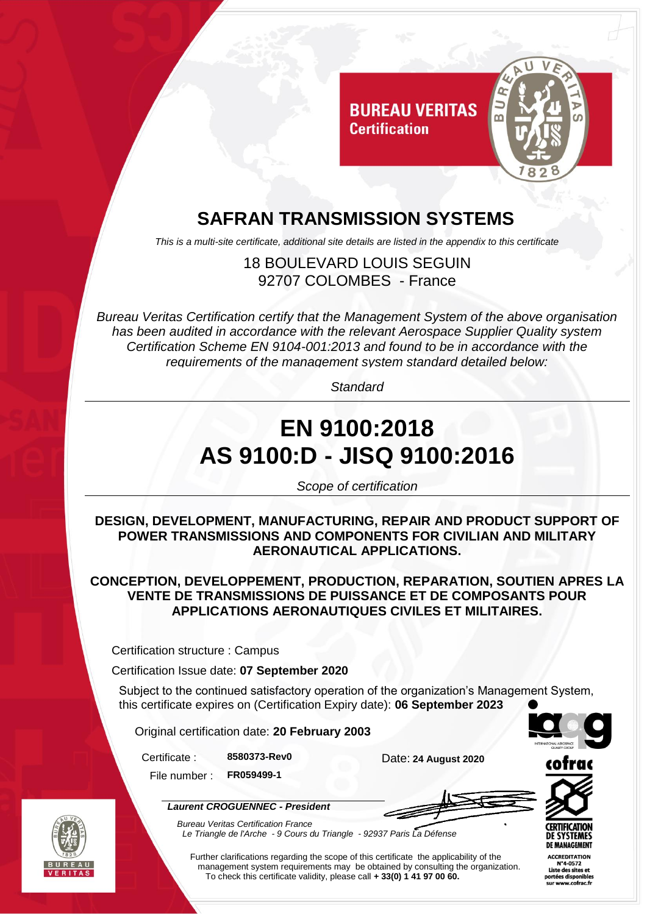

### **SAFRAN TRANSMISSION SYSTEMS**

*This is a multi-site certificate, additional site details are listed in the appendix to this certificate*

18 BOULEVARD LOUIS SEGUIN 92707 COLOMBES - France

*Bureau Veritas Certification certify that the Management System of the above organisation has been audited in accordance with the relevant Aerospace Supplier Quality system Certification Scheme EN 9104-001:2013 and found to be in accordance with the requirements of the management system standard detailed below:*

*Standard*

# **EN 9100:2018 AS 9100:D - JISQ 9100:2016**

*Scope of certification*

**DESIGN, DEVELOPMENT, MANUFACTURING, REPAIR AND PRODUCT SUPPORT OF POWER TRANSMISSIONS AND COMPONENTS FOR CIVILIAN AND MILITARY AERONAUTICAL APPLICATIONS.**

**CONCEPTION, DEVELOPPEMENT, PRODUCTION, REPARATION, SOUTIEN APRES LA VENTE DE TRANSMISSIONS DE PUISSANCE ET DE COMPOSANTS POUR APPLICATIONS AERONAUTIQUES CIVILES ET MILITAIRES.**

Certification structure : Campus

Certification Issue date: **07 September 2020**

Subject to the continued satisfactory operation of the organization's Management System, this certificate expires on (Certification Expiry date): **06 September 2023**

Original certification date: **20 February 2003**

*Laurent CROGUENNEC - President*



File number : **FR059499-1**





*Bureau Veritas Certification France Le Triangle de l'Arche - 9 Cours du Triangle - 92937 Paris La Défense* 

Further clarifications regarding the scope of this certificate the applicability of the management system requirements may be obtained by consulting the organization. To check this certificate validity, please call **+ 33(0) 1 41 97 00 60.**

**ACCREDITATION** N°4-0572 Liste des sites et iste des sites e<br>rtées disponibl .ccs uispomble<br>www.cofrac.fi

**CERTIFICATIO** DE SYSTEMES DE MANAGEMENT